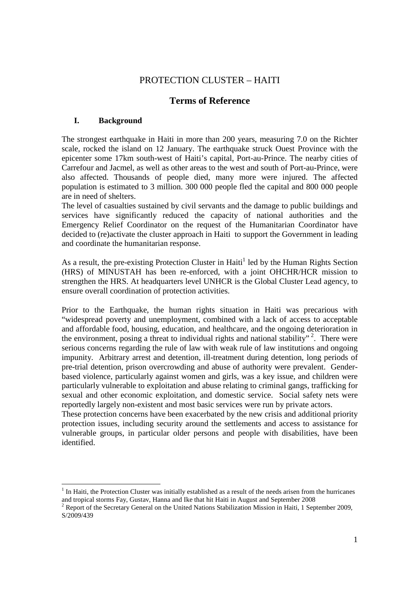# PROTECTION CLUSTER – HAITI

## **Terms of Reference**

## **I. Background**

-

The strongest earthquake in Haiti in more than 200 years, measuring 7.0 on the Richter scale, rocked the island on 12 January. The earthquake struck Ouest Province with the epicenter some 17km south-west of Haiti's capital, Port-au-Prince. The nearby cities of Carrefour and Jacmel, as well as other areas to the west and south of Port-au-Prince, were also affected. Thousands of people died, many more were injured. The affected population is estimated to 3 million. 300 000 people fled the capital and 800 000 people are in need of shelters.

The level of casualties sustained by civil servants and the damage to public buildings and services have significantly reduced the capacity of national authorities and the Emergency Relief Coordinator on the request of the Humanitarian Coordinator have decided to (re)activate the cluster approach in Haiti to support the Government in leading and coordinate the humanitarian response.

As a result, the pre-existing Protection Cluster in Haiti<sup>1</sup> led by the Human Rights Section (HRS) of MINUSTAH has been re-enforced, with a joint OHCHR/HCR mission to strengthen the HRS. At headquarters level UNHCR is the Global Cluster Lead agency, to ensure overall coordination of protection activities.

Prior to the Earthquake, the human rights situation in Haiti was precarious with "widespread poverty and unemployment, combined with a lack of access to acceptable and affordable food, housing, education, and healthcare, and the ongoing deterioration in the environment, posing a threat to individual rights and national stability"<sup>2</sup>. There were serious concerns regarding the rule of law with weak rule of law institutions and ongoing impunity. Arbitrary arrest and detention, ill-treatment during detention, long periods of pre-trial detention, prison overcrowding and abuse of authority were prevalent. Genderbased violence, particularly against women and girls, was a key issue, and children were particularly vulnerable to exploitation and abuse relating to criminal gangs, trafficking for sexual and other economic exploitation, and domestic service. Social safety nets were reportedly largely non-existent and most basic services were run by private actors.

These protection concerns have been exacerbated by the new crisis and additional priority protection issues, including security around the settlements and access to assistance for vulnerable groups, in particular older persons and people with disabilities, have been identified.

<sup>&</sup>lt;sup>1</sup> In Haiti, the Protection Cluster was initially established as a result of the needs arisen from the hurricanes and tropical storms Fay, Gustav, Hanna and Ike that hit Haiti in August and September 2008

<sup>&</sup>lt;sup>2</sup> Report of the Secretary General on the United Nations Stabilization Mission in Haiti, 1 September 2009, S/2009/439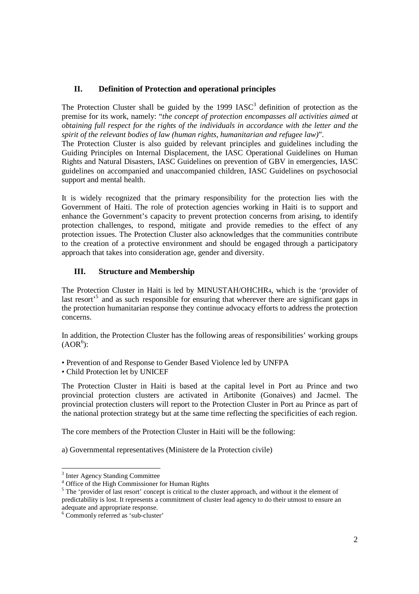#### **II. Definition of Protection and operational principles**

The Protection Cluster shall be guided by the  $1999$   $IASC<sup>3</sup>$  definition of protection as the premise for its work, namely: "*the concept of protection encompasses all activities aimed at obtaining full respect for the rights of the individuals in accordance with the letter and the spirit of the relevant bodies of law (human rights, humanitarian and refugee law)*".

The Protection Cluster is also guided by relevant principles and guidelines including the Guiding Principles on Internal Displacement, the IASC Operational Guidelines on Human Rights and Natural Disasters, IASC Guidelines on prevention of GBV in emergencies, IASC guidelines on accompanied and unaccompanied children, IASC Guidelines on psychosocial support and mental health.

It is widely recognized that the primary responsibility for the protection lies with the Government of Haiti. The role of protection agencies working in Haiti is to support and enhance the Government's capacity to prevent protection concerns from arising, to identify protection challenges, to respond, mitigate and provide remedies to the effect of any protection issues. The Protection Cluster also acknowledges that the communities contribute to the creation of a protective environment and should be engaged through a participatory approach that takes into consideration age, gender and diversity.

## **III. Structure and Membership**

The Protection Cluster in Haiti is led by MINUSTAH/OHCHR4, which is the 'provider of last resort<sup>5</sup> and as such responsible for ensuring that wherever there are significant gaps in the protection humanitarian response they continue advocacy efforts to address the protection concerns.

In addition, the Protection Cluster has the following areas of responsibilities' working groups  $(AOR<sup>6</sup>)$ :

• Prevention of and Response to Gender Based Violence led by UNFPA

• Child Protection let by UNICEF

The Protection Cluster in Haiti is based at the capital level in Port au Prince and two provincial protection clusters are activated in Artibonite (Gonaives) and Jacmel. The provincial protection clusters will report to the Protection Cluster in Port au Prince as part of the national protection strategy but at the same time reflecting the specificities of each region.

The core members of the Protection Cluster in Haiti will be the following:

a) Governmental representatives (Ministere de la Protection civile)

 3 Inter Agency Standing Committee

<sup>4</sup> Office of the High Commissioner for Human Rights

<sup>&</sup>lt;sup>5</sup> The 'provider of last resort' concept is critical to the cluster approach, and without it the element of predictability is lost. It represents a commitment of cluster lead agency to do their utmost to ensure an adequate and appropriate response.

<sup>6</sup> Commonly referred as 'sub-cluster'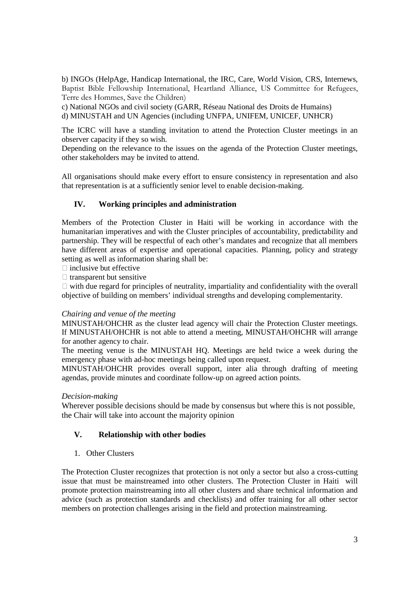b) INGOs (HelpAge, Handicap International, the IRC, Care, World Vision, CRS, Internews, Baptist Bible Fellowship International, Heartland Alliance, US Committee for Refugees, Terre des Hommes, Save the Children)

c) National NGOs and civil society (GARR, Réseau National des Droits de Humains) d) MINUSTAH and UN Agencies (including UNFPA, UNIFEM, UNICEF, UNHCR)

The ICRC will have a standing invitation to attend the Protection Cluster meetings in an observer capacity if they so wish.

Depending on the relevance to the issues on the agenda of the Protection Cluster meetings, other stakeholders may be invited to attend.

All organisations should make every effort to ensure consistency in representation and also that representation is at a sufficiently senior level to enable decision-making.

## **IV. Working principles and administration**

Members of the Protection Cluster in Haiti will be working in accordance with the humanitarian imperatives and with the Cluster principles of accountability, predictability and partnership. They will be respectful of each other's mandates and recognize that all members have different areas of expertise and operational capacities. Planning, policy and strategy setting as well as information sharing shall be:

inclusive but effective

transparent but sensitive

 with due regard for principles of neutrality, impartiality and confidentiality with the overall objective of building on members' individual strengths and developing complementarity.

#### *Chairing and venue of the meeting*

MINUSTAH/OHCHR as the cluster lead agency will chair the Protection Cluster meetings. If MINUSTAH/OHCHR is not able to attend a meeting, MINUSTAH/OHCHR will arrange for another agency to chair.

The meeting venue is the MINUSTAH HQ. Meetings are held twice a week during the emergency phase with ad-hoc meetings being called upon request.

MINUSTAH/OHCHR provides overall support, inter alia through drafting of meeting agendas, provide minutes and coordinate follow-up on agreed action points.

#### *Decision-making*

Wherever possible decisions should be made by consensus but where this is not possible, the Chair will take into account the majority opinion

#### **V. Relationship with other bodies**

1. Other Clusters

The Protection Cluster recognizes that protection is not only a sector but also a cross-cutting issue that must be mainstreamed into other clusters. The Protection Cluster in Haiti will promote protection mainstreaming into all other clusters and share technical information and advice (such as protection standards and checklists) and offer training for all other sector members on protection challenges arising in the field and protection mainstreaming.